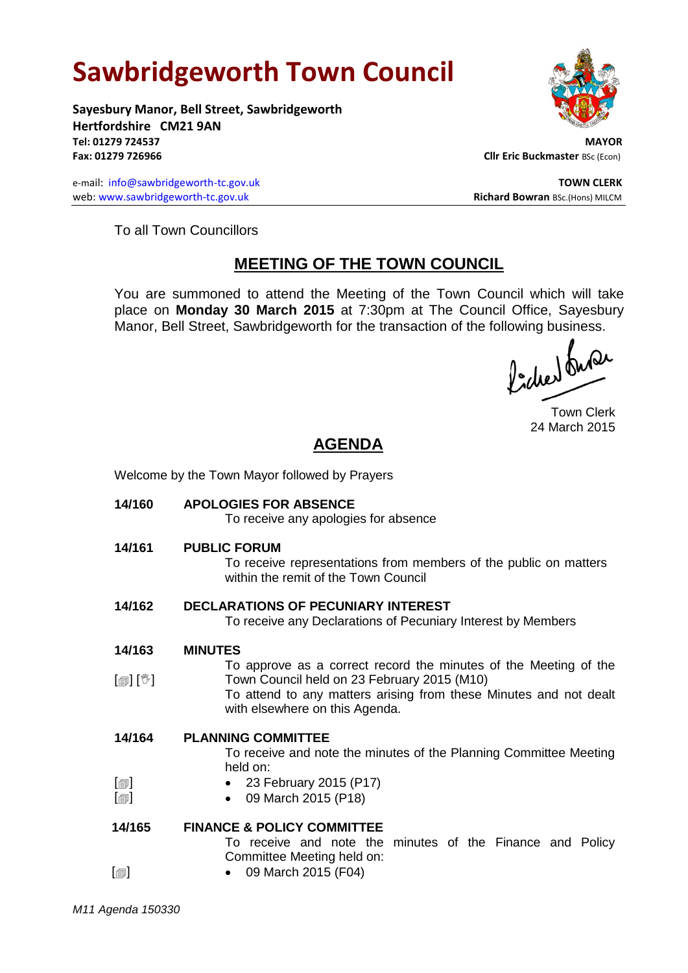# **Sawbridgeworth Town Council**

Welcome by the Town Mayor followed by Prayers

**Sayesbury Manor, Bell Street, Sawbridgeworth Hertfordshire CM21 9AN Tel: 01279 724537 MAYOR Fax: 01279 726966 Cllr Eric Buckmaster BSc (Econ)** 

e-mail: [info@sawbridgeworth-tc.gov.uk](mailto:info@sawbridgeworth-tc.gov.uk) **TOWN CLERK TOWN CLERK** web: www.sawbridgeworth-tc.gov.uk **Richard Bowran** BSc.(Hons) MILCM



To all Town Councillors

## **MEETING OF THE TOWN COUNCIL**

You are summoned to attend the Meeting of the Town Council which will take place on **Monday 30 March 2015** at 7:30pm at The Council Office, Sayesbury Manor, Bell Street, Sawbridgeworth for the transaction of the following business.<br>  $\int_{\mathbb{R}} \int_{\mathbb{R}} \mathbf{d} \mathbf{d} \mathbf{d} \mathbf{d}$ 

Town Clerk 24 March 2015

# **AGENDA**

| 14/160                                               | <b>APOLOGIES FOR ABSENCE</b><br>To receive any apologies for absence                                                                                                                                                   |
|------------------------------------------------------|------------------------------------------------------------------------------------------------------------------------------------------------------------------------------------------------------------------------|
| 14/161                                               | <b>PUBLIC FORUM</b><br>To receive representations from members of the public on matters<br>within the remit of the Town Council                                                                                        |
| 14/162                                               | <b>DECLARATIONS OF PECUNIARY INTEREST</b><br>To receive any Declarations of Pecuniary Interest by Members                                                                                                              |
| 14/163                                               | <b>MINUTES</b>                                                                                                                                                                                                         |
| $\mathbb{D}[\mathbb{D}^1]$                           | To approve as a correct record the minutes of the Meeting of the<br>Town Council held on 23 February 2015 (M10)<br>To attend to any matters arising from these Minutes and not dealt<br>with elsewhere on this Agenda. |
| 14/164                                               | <b>PLANNING COMMITTEE</b><br>To receive and note the minutes of the Planning Committee Meeting<br>held on:                                                                                                             |
| $\lbrack \oplus \rbrack$<br>$\lbrack \oplus \rbrack$ | • 23 February 2015 (P17)<br>09 March 2015 (P18)<br>$\bullet$                                                                                                                                                           |
| 14/165                                               | <b>FINANCE &amp; POLICY COMMITTEE</b><br>To receive and note the minutes of the Finance and Policy<br>Committee Meeting held on:                                                                                       |
| $[\blacksquare]$                                     | 09 March 2015 (F04)                                                                                                                                                                                                    |